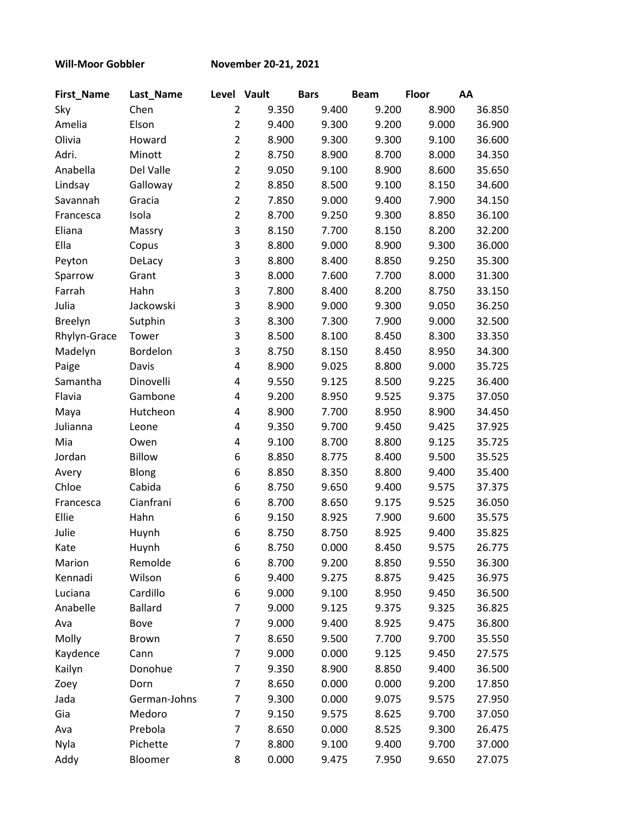**Will-Moor Gobbler November 20-21, 2021**

| <b>First_Name</b> | Last_Name      | Level Vault    |       | <b>Bars</b> | <b>Beam</b> | <b>Floor</b> | AA     |
|-------------------|----------------|----------------|-------|-------------|-------------|--------------|--------|
| Sky               | Chen           | $\overline{2}$ | 9.350 | 9.400       | 9.200       | 8.900        | 36.850 |
| Amelia            | Elson          | $\overline{2}$ | 9.400 | 9.300       | 9.200       | 9.000        | 36.900 |
| Olivia            | Howard         | $\overline{2}$ | 8.900 | 9.300       | 9.300       | 9.100        | 36.600 |
| Adri.             | Minott         | $\overline{2}$ | 8.750 | 8.900       | 8.700       | 8.000        | 34.350 |
| Anabella          | Del Valle      | $\overline{2}$ | 9.050 | 9.100       | 8.900       | 8.600        | 35.650 |
| Lindsay           | Galloway       | $\overline{2}$ | 8.850 | 8.500       | 9.100       | 8.150        | 34.600 |
| Savannah          | Gracia         | $\overline{2}$ | 7.850 | 9.000       | 9.400       | 7.900        | 34.150 |
| Francesca         | Isola          | $\overline{2}$ | 8.700 | 9.250       | 9.300       | 8.850        | 36.100 |
| Eliana            | Massry         | 3              | 8.150 | 7.700       | 8.150       | 8.200        | 32.200 |
| Ella              | Copus          | 3              | 8.800 | 9.000       | 8.900       | 9.300        | 36.000 |
| Peyton            | DeLacy         | 3              | 8.800 | 8.400       | 8.850       | 9.250        | 35.300 |
| Sparrow           | Grant          | 3              | 8.000 | 7.600       | 7.700       | 8.000        | 31.300 |
| Farrah            | Hahn           | 3              | 7.800 | 8.400       | 8.200       | 8.750        | 33.150 |
| Julia             | Jackowski      | 3              | 8.900 | 9.000       | 9.300       | 9.050        | 36.250 |
| <b>Breelyn</b>    | Sutphin        | 3              | 8.300 | 7.300       | 7.900       | 9.000        | 32.500 |
| Rhylyn-Grace      | Tower          | 3              | 8.500 | 8.100       | 8.450       | 8.300        | 33.350 |
| Madelyn           | Bordelon       | 3              | 8.750 | 8.150       | 8.450       | 8.950        | 34.300 |
| Paige             | Davis          | 4              | 8.900 | 9.025       | 8.800       | 9.000        | 35.725 |
| Samantha          | Dinovelli      | 4              | 9.550 | 9.125       | 8.500       | 9.225        | 36.400 |
| Flavia            | Gambone        | 4              | 9.200 | 8.950       | 9.525       | 9.375        | 37.050 |
| Maya              | Hutcheon       | 4              | 8.900 | 7.700       | 8.950       | 8.900        | 34.450 |
| Julianna          | Leone          | 4              | 9.350 | 9.700       | 9.450       | 9.425        | 37.925 |
| Mia               | Owen           | 4              | 9.100 | 8.700       | 8.800       | 9.125        | 35.725 |
| Jordan            | <b>Billow</b>  | 6              | 8.850 | 8.775       | 8.400       | 9.500        | 35.525 |
| Avery             | Blong          | 6              | 8.850 | 8.350       | 8.800       | 9.400        | 35.400 |
| Chloe             | Cabida         | 6              | 8.750 | 9.650       | 9.400       | 9.575        | 37.375 |
| Francesca         | Cianfrani      | 6              | 8.700 | 8.650       | 9.175       | 9.525        | 36.050 |
| Ellie             | Hahn           | 6              | 9.150 | 8.925       | 7.900       | 9.600        | 35.575 |
| Julie             | Huynh          | 6              | 8.750 | 8.750       | 8.925       | 9.400        | 35.825 |
| Kate              | Huynh          | 6              | 8.750 | 0.000       | 8.450       | 9.575        | 26.775 |
| Marion            | Remolde        | 6              | 8.700 | 9.200       | 8.850       | 9.550        | 36.300 |
| Kennadi           | Wilson         | 6              | 9.400 | 9.275       | 8.875       | 9.425        | 36.975 |
| Luciana           | Cardillo       | 6              | 9.000 | 9.100       | 8.950       | 9.450        | 36.500 |
| Anabelle          | <b>Ballard</b> | $\overline{7}$ | 9.000 | 9.125       | 9.375       | 9.325        | 36.825 |
| Ava               | Bove           | $\overline{7}$ | 9.000 | 9.400       | 8.925       | 9.475        | 36.800 |
| Molly             | Brown          | 7              | 8.650 | 9.500       | 7.700       | 9.700        | 35.550 |
| Kaydence          | Cann           | 7              | 9.000 | 0.000       | 9.125       | 9.450        | 27.575 |
| Kailyn            | Donohue        | 7              | 9.350 | 8.900       | 8.850       | 9.400        | 36.500 |
| Zoey              | Dorn           | $\overline{7}$ | 8.650 | 0.000       | 0.000       | 9.200        | 17.850 |
| Jada              | German-Johns   | 7              | 9.300 | 0.000       | 9.075       | 9.575        | 27.950 |
| Gia               | Medoro         | $\overline{7}$ | 9.150 | 9.575       | 8.625       | 9.700        | 37.050 |
| Ava               | Prebola        | $\overline{7}$ | 8.650 | 0.000       | 8.525       | 9.300        | 26.475 |
| Nyla              | Pichette       | $\overline{7}$ | 8.800 | 9.100       | 9.400       | 9.700        | 37.000 |
| Addy              | Bloomer        | 8              | 0.000 | 9.475       | 7.950       | 9.650        | 27.075 |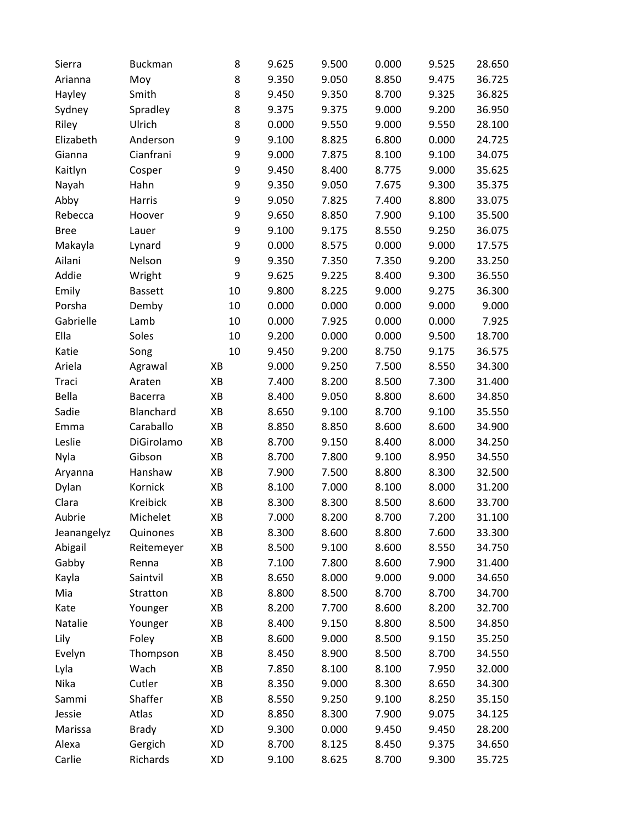| Sierra      | <b>Buckman</b> | 8  | 9.625 | 9.500 | 0.000 | 9.525 | 28.650 |
|-------------|----------------|----|-------|-------|-------|-------|--------|
| Arianna     | Moy            | 8  | 9.350 | 9.050 | 8.850 | 9.475 | 36.725 |
| Hayley      | Smith          | 8  | 9.450 | 9.350 | 8.700 | 9.325 | 36.825 |
| Sydney      | Spradley       | 8  | 9.375 | 9.375 | 9.000 | 9.200 | 36.950 |
| Riley       | Ulrich         | 8  | 0.000 | 9.550 | 9.000 | 9.550 | 28.100 |
| Elizabeth   | Anderson       | 9  | 9.100 | 8.825 | 6.800 | 0.000 | 24.725 |
| Gianna      | Cianfrani      | 9  | 9.000 | 7.875 | 8.100 | 9.100 | 34.075 |
| Kaitlyn     | Cosper         | 9  | 9.450 | 8.400 | 8.775 | 9.000 | 35.625 |
| Nayah       | Hahn           | 9  | 9.350 | 9.050 | 7.675 | 9.300 | 35.375 |
| Abby        | Harris         | 9  | 9.050 | 7.825 | 7.400 | 8.800 | 33.075 |
| Rebecca     | Hoover         | 9  | 9.650 | 8.850 | 7.900 | 9.100 | 35.500 |
| <b>Bree</b> | Lauer          | 9  | 9.100 | 9.175 | 8.550 | 9.250 | 36.075 |
| Makayla     | Lynard         | 9  | 0.000 | 8.575 | 0.000 | 9.000 | 17.575 |
| Ailani      | Nelson         | 9  | 9.350 | 7.350 | 7.350 | 9.200 | 33.250 |
| Addie       | Wright         | 9  | 9.625 | 9.225 | 8.400 | 9.300 | 36.550 |
| Emily       | <b>Bassett</b> | 10 | 9.800 | 8.225 | 9.000 | 9.275 | 36.300 |
| Porsha      | Demby          | 10 | 0.000 | 0.000 | 0.000 | 9.000 | 9.000  |
| Gabrielle   | Lamb           | 10 | 0.000 | 7.925 | 0.000 | 0.000 | 7.925  |
| Ella        | Soles          | 10 | 9.200 | 0.000 | 0.000 | 9.500 | 18.700 |
| Katie       | Song           | 10 | 9.450 | 9.200 | 8.750 | 9.175 | 36.575 |
| Ariela      | Agrawal        | XB | 9.000 | 9.250 | 7.500 | 8.550 | 34.300 |
| Traci       | Araten         | XB | 7.400 | 8.200 | 8.500 | 7.300 | 31.400 |
| Bella       | <b>Bacerra</b> | XB | 8.400 | 9.050 | 8.800 | 8.600 | 34.850 |
| Sadie       | Blanchard      | XB | 8.650 | 9.100 | 8.700 | 9.100 | 35.550 |
| Emma        | Caraballo      | XB | 8.850 | 8.850 | 8.600 | 8.600 | 34.900 |
| Leslie      | DiGirolamo     | XB | 8.700 | 9.150 | 8.400 | 8.000 | 34.250 |
| Nyla        | Gibson         | XB | 8.700 | 7.800 | 9.100 | 8.950 | 34.550 |
| Aryanna     | Hanshaw        | XB | 7.900 | 7.500 | 8.800 | 8.300 | 32.500 |
| Dylan       | Kornick        | XB | 8.100 | 7.000 | 8.100 | 8.000 | 31.200 |
| Clara       | Kreibick       | XB | 8.300 | 8.300 | 8.500 | 8.600 | 33.700 |
| Aubrie      | Michelet       | XB | 7.000 | 8.200 | 8.700 | 7.200 | 31.100 |
| Jeanangelyz | Quinones       | XB | 8.300 | 8.600 | 8.800 | 7.600 | 33.300 |
| Abigail     | Reitemeyer     | XB | 8.500 | 9.100 | 8.600 | 8.550 | 34.750 |
| Gabby       | Renna          | XB | 7.100 | 7.800 | 8.600 | 7.900 | 31.400 |
| Kayla       | Saintvil       | XB | 8.650 | 8.000 | 9.000 | 9.000 | 34.650 |
| Mia         | Stratton       | XB | 8.800 | 8.500 | 8.700 | 8.700 | 34.700 |
| Kate        | Younger        | XB | 8.200 | 7.700 | 8.600 | 8.200 | 32.700 |
| Natalie     | Younger        | XB | 8.400 | 9.150 | 8.800 | 8.500 | 34.850 |
| Lily        | Foley          | XB | 8.600 | 9.000 | 8.500 | 9.150 | 35.250 |
| Evelyn      | Thompson       | XB | 8.450 | 8.900 | 8.500 | 8.700 | 34.550 |
| Lyla        | Wach           | XB | 7.850 | 8.100 | 8.100 | 7.950 | 32.000 |
| Nika        | Cutler         | XB | 8.350 | 9.000 | 8.300 | 8.650 | 34.300 |
| Sammi       | Shaffer        | XB | 8.550 | 9.250 | 9.100 | 8.250 | 35.150 |
| Jessie      | Atlas          | XD | 8.850 | 8.300 | 7.900 | 9.075 | 34.125 |
| Marissa     | <b>Brady</b>   | XD | 9.300 | 0.000 | 9.450 | 9.450 | 28.200 |
| Alexa       | Gergich        | XD | 8.700 | 8.125 | 8.450 | 9.375 | 34.650 |
| Carlie      | Richards       | XD | 9.100 | 8.625 | 8.700 | 9.300 | 35.725 |